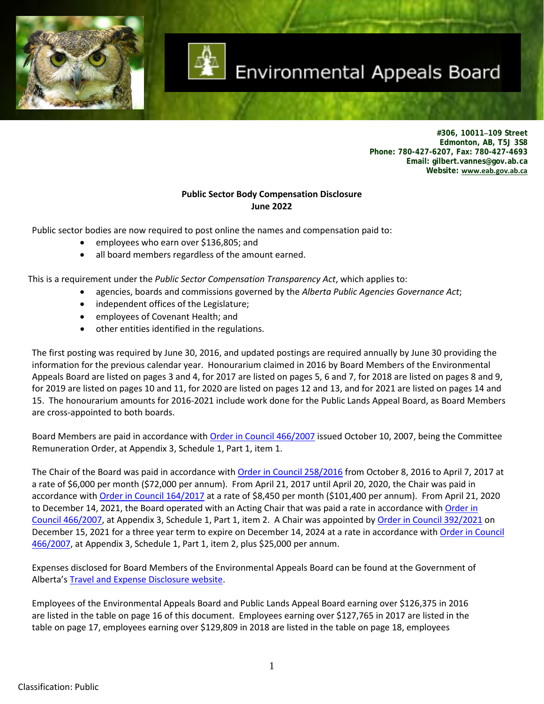

# Environmental Appeals Board

**#306, 10011–109 Street Edmonton, AB, T5J 3S8 Phone: 780-427-6207, Fax: 780-427-4693 Email: gilbert.vannes@gov.ab.ca Website: [www.eab.gov.ab.ca](file://GOA/SHARED/EAB/WPDOCS/Budget/www.eab.gov.ab.ca)**

#### **Public Sector Body Compensation Disclosure June 2022**

Public sector bodies are now required to post online the names and compensation paid to:

- employees who earn over \$136,805; and
- all board members regardless of the amount earned.

This is a requirement under the *Public Sector Compensation Transparency Act*, which applies to:

- agencies, boards and commissions governed by the *Alberta Public Agencies Governance Act*;
- independent offices of the Legislature;
- employees of Covenant Health; and
- other entities identified in the regulations.

The first posting was required by June 30, 2016, and updated postings are required annually by June 30 providing the information for the previous calendar year. Honourarium claimed in 2016 by Board Members of the Environmental Appeals Board are listed on pages 3 and 4, for 2017 are listed on pages 5, 6 and 7, for 2018 are listed on pages 8 and 9, for 2019 are listed on pages 10 and 11, for 2020 are listed on pages 12 and 13, and for 2021 are listed on pages 14 and 15. The honourarium amounts for 2016-2021 include work done for the Public Lands Appeal Board, as Board Members are cross-appointed to both boards.

Board Members are paid in accordance wit[h Order in Council 466/2007](http://www.qp.alberta.ca/documents/orders/orders_in_council/2007/1007/2007_466.html) issued October 10, 2007, being the Committee Remuneration Order, at Appendix 3, Schedule 1, Part 1, item 1.

The Chair of the Board was paid in accordance with [Order in Council 258/2016](http://www.qp.alberta.ca/documents/orders/Orders_in_Council/2016/1016/2016_258.pdf) from October 8, 2016 to April 7, 2017 at a rate of \$6,000 per month (\$72,000 per annum). From April 21, 2017 until April 20, 2020, the Chair was paid in accordance with [Order in Council 164/2017](http://www.qp.alberta.ca/documents/orders/Orders_in_Council/2017/417/2017_164.pdf) at a rate of \$8,450 per month (\$101,400 per annum). From April 21, 2020 to December 14, 2021, the Board operated with an Acting Chair that was paid a rate in accordance with Order in [Council 466/2007,](http://www.qp.alberta.ca/documents/orders/orders_in_council/2007/1007/2007_466.html) at Appendix 3, Schedule 1, Part 1, item 2. A Chair was appointed by [Order in Council 392/2021](https://www.qp.alberta.ca/documents/Orders/Orders_in_Council/2021/2021_392.pdf) on December 15, 2021 for a three year term to expire on December 14, 2024 at a rate in accordance with Order in Council [466/2007,](http://www.qp.alberta.ca/documents/orders/orders_in_council/2007/1007/2007_466.html) at Appendix 3, Schedule 1, Part 1, item 2, plus \$25,000 per annum.

Expenses disclosed for Board Members of the Environmental Appeals Board can be found at the Government of Alberta'[s Travel and Expense Disclosure website.](https://www.alberta.ca/travel-and-expense-disclosure-table.aspx)

Employees of the Environmental Appeals Board and Public Lands Appeal Board earning over \$126,375 in 2016 are listed in the table on page 16 of this document. Employees earning over \$127,765 in 2017 are listed in the table on page 17, employees earning over \$129,809 in 2018 are listed in the table on page 18, employees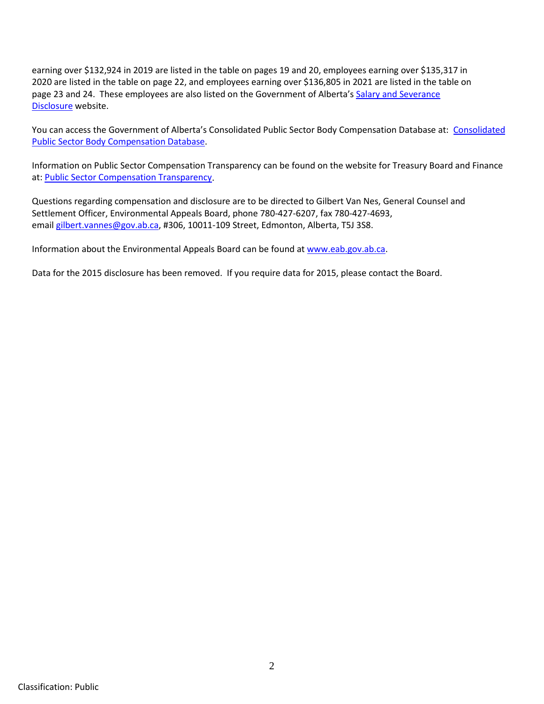earning over \$132,924 in 2019 are listed in the table on pages 19 and 20, employees earning over \$135,317 in 2020 are listed in the table on page 22, and employees earning over \$136,805 in 2021 are listed in the table on page 23 and 24. These employees are also listed on the Government of Alberta's [Salary and Severance](http://www.alberta.ca/salary-disclosure.aspx)  [Disclosure](http://www.alberta.ca/salary-disclosure.aspx) website.

You can access the Government of Alberta's Consolidated Public Sector Body Compensation Database at: [Consolidated](https://www.alberta.ca/public-sector-body-compensation-disclosure.aspx)  [Public Sector Body Compensation Database.](https://www.alberta.ca/public-sector-body-compensation-disclosure.aspx)

Information on Public Sector Compensation Transparency can be found on the website for Treasury Board and Finance at: [Public Sector Compensation Transparency.](https://www.alberta.ca/public-sector-body-compensation-disclosure.aspx)

Questions regarding compensation and disclosure are to be directed to Gilbert Van Nes, General Counsel and Settlement Officer, Environmental Appeals Board, phone 780-427-6207, fax 780-427-4693, email [gilbert.vannes@gov.ab.ca,](mailto:gilbert.vannes@gov.ab.ca) #306, 10011-109 Street, Edmonton, Alberta, T5J 3S8.

Information about the Environmental Appeals Board can be found a[t www.eab.gov.ab.ca.](http://www.eab.gov.ab.ca/)

Data for the 2015 disclosure has been removed. If you require data for 2015, please contact the Board.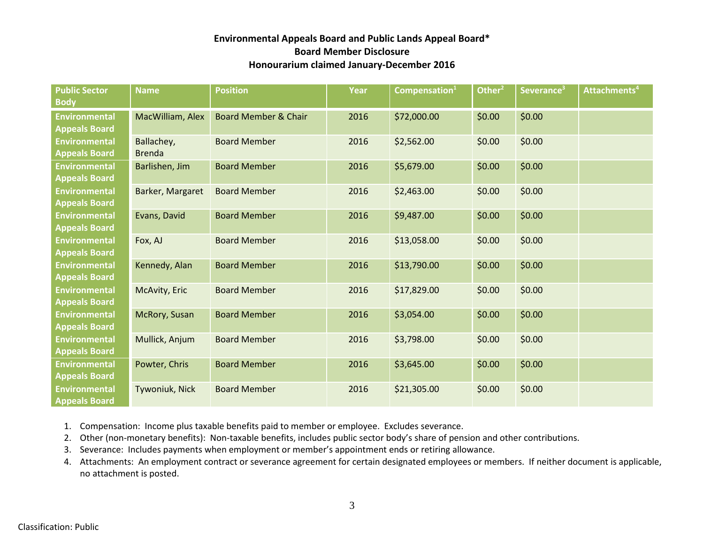| <b>Public Sector</b><br><b>Body</b>          | <b>Name</b>                 | <b>Position</b>                 | Year | Compensation $1$ | Other <sup>2</sup> | Severance <sup>3</sup> | Attachments <sup>4</sup> |
|----------------------------------------------|-----------------------------|---------------------------------|------|------------------|--------------------|------------------------|--------------------------|
| <b>Environmental</b><br><b>Appeals Board</b> | MacWilliam, Alex            | <b>Board Member &amp; Chair</b> | 2016 | \$72,000.00      | \$0.00             | \$0.00                 |                          |
| <b>Environmental</b><br><b>Appeals Board</b> | Ballachey,<br><b>Brenda</b> | <b>Board Member</b>             | 2016 | \$2,562.00       | \$0.00             | \$0.00                 |                          |
| <b>Environmental</b><br><b>Appeals Board</b> | Barlishen, Jim              | <b>Board Member</b>             | 2016 | \$5,679.00       | \$0.00             | \$0.00                 |                          |
| <b>Environmental</b><br><b>Appeals Board</b> | Barker, Margaret            | <b>Board Member</b>             | 2016 | \$2,463.00       | \$0.00             | \$0.00                 |                          |
| <b>Environmental</b><br><b>Appeals Board</b> | Evans, David                | <b>Board Member</b>             | 2016 | \$9,487.00       | \$0.00             | \$0.00                 |                          |
| <b>Environmental</b><br><b>Appeals Board</b> | Fox, AJ                     | <b>Board Member</b>             | 2016 | \$13,058.00      | \$0.00             | \$0.00                 |                          |
| <b>Environmental</b><br><b>Appeals Board</b> | Kennedy, Alan               | <b>Board Member</b>             | 2016 | \$13,790.00      | \$0.00             | \$0.00                 |                          |
| <b>Environmental</b><br><b>Appeals Board</b> | McAvity, Eric               | <b>Board Member</b>             | 2016 | \$17,829.00      | \$0.00             | \$0.00                 |                          |
| <b>Environmental</b><br><b>Appeals Board</b> | McRory, Susan               | <b>Board Member</b>             | 2016 | \$3,054.00       | \$0.00             | \$0.00                 |                          |
| <b>Environmental</b><br><b>Appeals Board</b> | Mullick, Anjum              | <b>Board Member</b>             | 2016 | \$3,798.00       | \$0.00             | \$0.00                 |                          |
| <b>Environmental</b><br><b>Appeals Board</b> | Powter, Chris               | <b>Board Member</b>             | 2016 | \$3,645.00       | \$0.00             | \$0.00                 |                          |
| <b>Environmental</b><br><b>Appeals Board</b> | Tywoniuk, Nick              | <b>Board Member</b>             | 2016 | \$21,305.00      | \$0.00             | \$0.00                 |                          |

1. Compensation: Income plus taxable benefits paid to member or employee. Excludes severance.

2. Other (non-monetary benefits): Non-taxable benefits, includes public sector body's share of pension and other contributions.

3. Severance: Includes payments when employment or member's appointment ends or retiring allowance.

4. Attachments: An employment contract or severance agreement for certain designated employees or members. If neither document is applicable, no attachment is posted.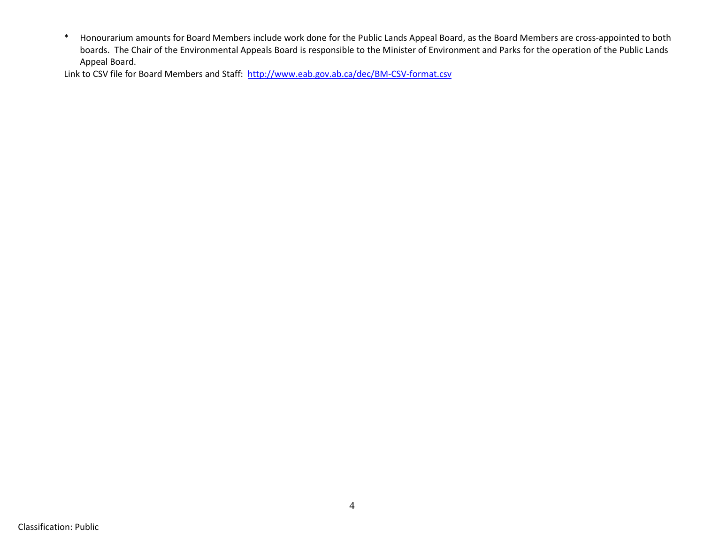\* Honourarium amounts for Board Members include work done for the Public Lands Appeal Board, as the Board Members are cross-appointed to both boards. The Chair of the Environmental Appeals Board is responsible to the Minister of Environment and Parks for the operation of the Public Lands Appeal Board.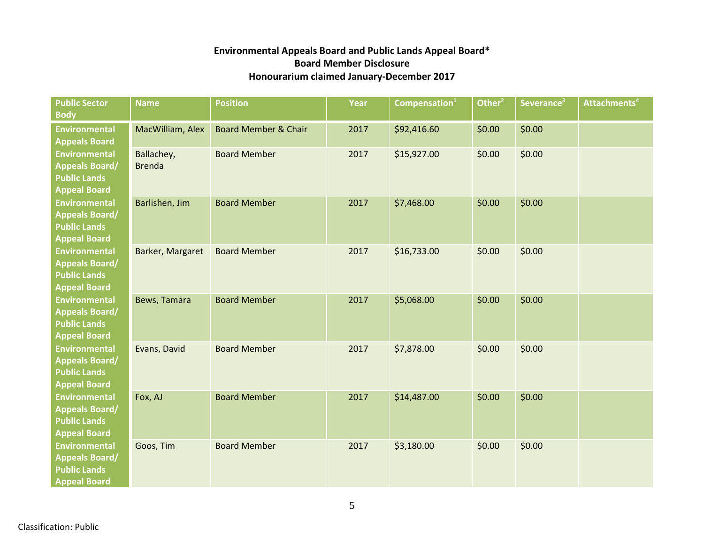| <b>Public Sector</b><br><b>Body</b>                                                         | <b>Name</b>                 | <b>Position</b>                 | Year | Compensation <sup>1</sup> | Other <sup>2</sup> | Severance <sup>3</sup> | Attachments <sup>4</sup> |
|---------------------------------------------------------------------------------------------|-----------------------------|---------------------------------|------|---------------------------|--------------------|------------------------|--------------------------|
| <b>Environmental</b><br><b>Appeals Board</b>                                                | MacWilliam, Alex            | <b>Board Member &amp; Chair</b> | 2017 | \$92,416.60               | \$0.00             | \$0.00                 |                          |
| <b>Environmental</b><br><b>Appeals Board/</b><br><b>Public Lands</b><br><b>Appeal Board</b> | Ballachey,<br><b>Brenda</b> | <b>Board Member</b>             | 2017 | \$15,927.00               | \$0.00             | \$0.00                 |                          |
| <b>Environmental</b><br><b>Appeals Board/</b><br><b>Public Lands</b><br><b>Appeal Board</b> | Barlishen, Jim              | <b>Board Member</b>             | 2017 | \$7,468.00                | \$0.00             | \$0.00                 |                          |
| <b>Environmental</b><br><b>Appeals Board/</b><br><b>Public Lands</b><br><b>Appeal Board</b> | Barker, Margaret            | <b>Board Member</b>             | 2017 | \$16,733.00               | \$0.00             | \$0.00                 |                          |
| <b>Environmental</b><br><b>Appeals Board/</b><br><b>Public Lands</b><br><b>Appeal Board</b> | Bews, Tamara                | <b>Board Member</b>             | 2017 | \$5,068.00                | \$0.00             | \$0.00                 |                          |
| <b>Environmental</b><br><b>Appeals Board/</b><br><b>Public Lands</b><br><b>Appeal Board</b> | Evans, David                | <b>Board Member</b>             | 2017 | \$7,878.00                | \$0.00             | \$0.00                 |                          |
| <b>Environmental</b><br><b>Appeals Board/</b><br><b>Public Lands</b><br><b>Appeal Board</b> | Fox, AJ                     | <b>Board Member</b>             | 2017 | \$14,487.00               | \$0.00             | \$0.00                 |                          |
| <b>Environmental</b><br><b>Appeals Board/</b><br><b>Public Lands</b><br><b>Appeal Board</b> | Goos, Tim                   | <b>Board Member</b>             | 2017 | \$3,180.00                | \$0.00             | \$0.00                 |                          |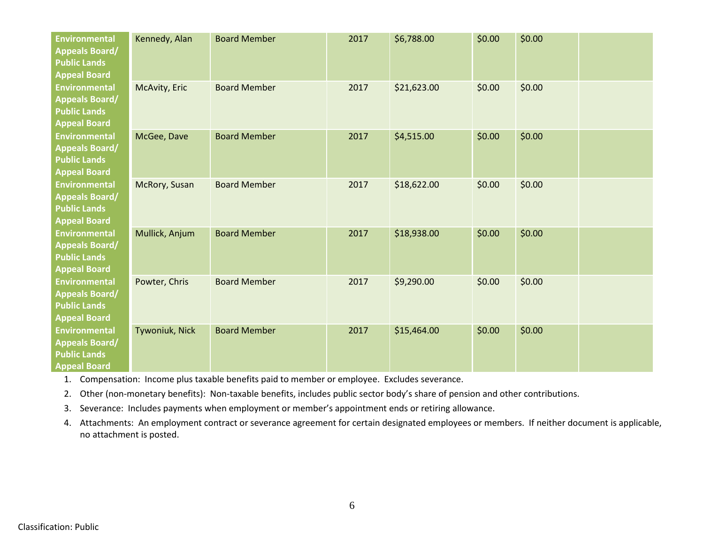| <b>Environmental</b><br><b>Appeals Board/</b><br><b>Public Lands</b><br><b>Appeal Board</b> | Kennedy, Alan  | <b>Board Member</b> | 2017 | \$6,788.00  | \$0.00 | \$0.00 |  |
|---------------------------------------------------------------------------------------------|----------------|---------------------|------|-------------|--------|--------|--|
| <b>Environmental</b><br><b>Appeals Board/</b><br><b>Public Lands</b><br><b>Appeal Board</b> | McAvity, Eric  | <b>Board Member</b> | 2017 | \$21,623.00 | \$0.00 | \$0.00 |  |
| <b>Environmental</b><br><b>Appeals Board/</b><br><b>Public Lands</b><br><b>Appeal Board</b> | McGee, Dave    | <b>Board Member</b> | 2017 | \$4,515.00  | \$0.00 | \$0.00 |  |
| <b>Environmental</b><br><b>Appeals Board/</b><br><b>Public Lands</b><br><b>Appeal Board</b> | McRory, Susan  | <b>Board Member</b> | 2017 | \$18,622.00 | \$0.00 | \$0.00 |  |
| Environmental<br><b>Appeals Board/</b><br><b>Public Lands</b><br><b>Appeal Board</b>        | Mullick, Anjum | <b>Board Member</b> | 2017 | \$18,938.00 | \$0.00 | \$0.00 |  |
| <b>Environmental</b><br><b>Appeals Board/</b><br><b>Public Lands</b><br><b>Appeal Board</b> | Powter, Chris  | <b>Board Member</b> | 2017 | \$9,290.00  | \$0.00 | \$0.00 |  |
| <b>Environmental</b><br><b>Appeals Board/</b><br><b>Public Lands</b><br><b>Appeal Board</b> | Tywoniuk, Nick | <b>Board Member</b> | 2017 | \$15,464.00 | \$0.00 | \$0.00 |  |

1. Compensation: Income plus taxable benefits paid to member or employee. Excludes severance.

2. Other (non-monetary benefits): Non-taxable benefits, includes public sector body's share of pension and other contributions.

3. Severance: Includes payments when employment or member's appointment ends or retiring allowance.

4. Attachments: An employment contract or severance agreement for certain designated employees or members. If neither document is applicable, no attachment is posted.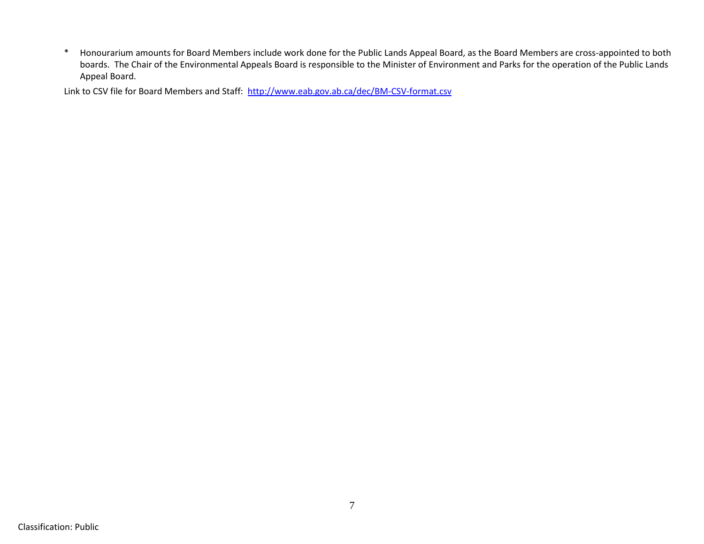\* Honourarium amounts for Board Members include work done for the Public Lands Appeal Board, as the Board Members are cross-appointed to both boards. The Chair of the Environmental Appeals Board is responsible to the Minister of Environment and Parks for the operation of the Public Lands Appeal Board.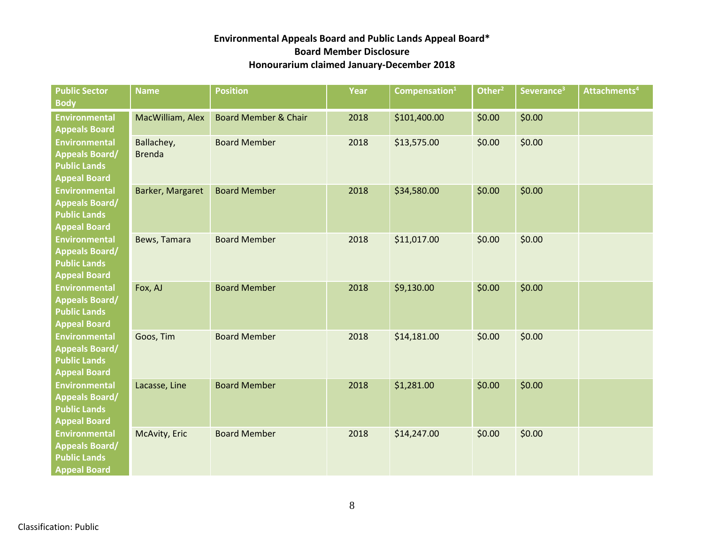| <b>Public Sector</b><br><b>Body</b>                                                         | <b>Name</b>                 | <b>Position</b>                 | Year | Compensation $^1$ | Other $^2$ | Severance <sup>3</sup> | Attachments <sup>4</sup> |
|---------------------------------------------------------------------------------------------|-----------------------------|---------------------------------|------|-------------------|------------|------------------------|--------------------------|
| <b>Environmental</b><br><b>Appeals Board</b>                                                | MacWilliam, Alex            | <b>Board Member &amp; Chair</b> | 2018 | \$101,400.00      | \$0.00     | \$0.00                 |                          |
| <b>Environmental</b><br><b>Appeals Board/</b><br><b>Public Lands</b><br><b>Appeal Board</b> | Ballachey,<br><b>Brenda</b> | <b>Board Member</b>             | 2018 | \$13,575.00       | \$0.00     | \$0.00                 |                          |
| <b>Environmental</b><br><b>Appeals Board/</b><br><b>Public Lands</b><br><b>Appeal Board</b> | Barker, Margaret            | <b>Board Member</b>             | 2018 | \$34,580.00       | \$0.00     | \$0.00                 |                          |
| <b>Environmental</b><br><b>Appeals Board/</b><br><b>Public Lands</b><br><b>Appeal Board</b> | Bews, Tamara                | <b>Board Member</b>             | 2018 | \$11,017.00       | \$0.00     | \$0.00                 |                          |
| <b>Environmental</b><br><b>Appeals Board/</b><br><b>Public Lands</b><br><b>Appeal Board</b> | Fox, AJ                     | <b>Board Member</b>             | 2018 | \$9,130.00        | \$0.00     | \$0.00                 |                          |
| <b>Environmental</b><br><b>Appeals Board/</b><br><b>Public Lands</b><br><b>Appeal Board</b> | Goos, Tim                   | <b>Board Member</b>             | 2018 | \$14,181.00       | \$0.00     | \$0.00                 |                          |
| <b>Environmental</b><br><b>Appeals Board/</b><br><b>Public Lands</b><br><b>Appeal Board</b> | Lacasse, Line               | <b>Board Member</b>             | 2018 | \$1,281.00        | \$0.00     | \$0.00                 |                          |
| <b>Environmental</b><br><b>Appeals Board/</b><br><b>Public Lands</b><br><b>Appeal Board</b> | McAvity, Eric               | <b>Board Member</b>             | 2018 | \$14,247.00       | \$0.00     | \$0.00                 |                          |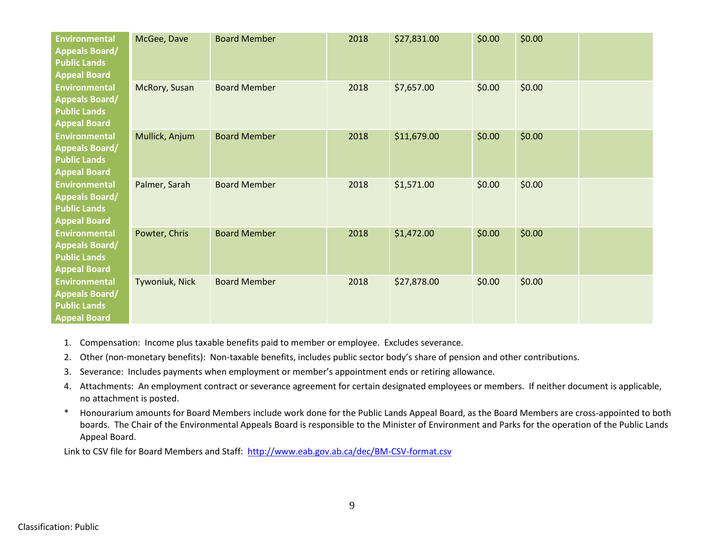| <b>Environmental</b><br><b>Appeals Board/</b><br><b>Public Lands</b><br><b>Appeal Board</b> | McGee, Dave    | <b>Board Member</b> | 2018 | \$27,831.00 | \$0.00 | \$0.00 |  |
|---------------------------------------------------------------------------------------------|----------------|---------------------|------|-------------|--------|--------|--|
| <b>Environmental</b><br><b>Appeals Board/</b><br><b>Public Lands</b><br><b>Appeal Board</b> | McRory, Susan  | <b>Board Member</b> | 2018 | \$7,657.00  | \$0.00 | \$0.00 |  |
| Environmental<br><b>Appeals Board/</b><br><b>Public Lands</b><br><b>Appeal Board</b>        | Mullick, Anjum | <b>Board Member</b> | 2018 | \$11,679.00 | \$0.00 | \$0.00 |  |
| Environmental<br><b>Appeals Board/</b><br><b>Public Lands</b><br><b>Appeal Board</b>        | Palmer, Sarah  | <b>Board Member</b> | 2018 | \$1,571.00  | \$0.00 | \$0.00 |  |
| <b>Environmental</b><br><b>Appeals Board/</b><br><b>Public Lands</b><br><b>Appeal Board</b> | Powter, Chris  | <b>Board Member</b> | 2018 | \$1,472.00  | \$0.00 | \$0.00 |  |
| <b>Environmental</b><br><b>Appeals Board/</b><br><b>Public Lands</b><br><b>Appeal Board</b> | Tywoniuk, Nick | <b>Board Member</b> | 2018 | \$27,878.00 | \$0.00 | \$0.00 |  |

- 1. Compensation: Income plus taxable benefits paid to member or employee. Excludes severance.
- 2. Other (non-monetary benefits): Non-taxable benefits, includes public sector body's share of pension and other contributions.
- 3. Severance: Includes payments when employment or member's appointment ends or retiring allowance.
- 4. Attachments: An employment contract or severance agreement for certain designated employees or members. If neither document is applicable, no attachment is posted.
- \* Honourarium amounts for Board Members include work done for the Public Lands Appeal Board, as the Board Members are cross-appointed to both boards. The Chair of the Environmental Appeals Board is responsible to the Minister of Environment and Parks for the operation of the Public Lands Appeal Board.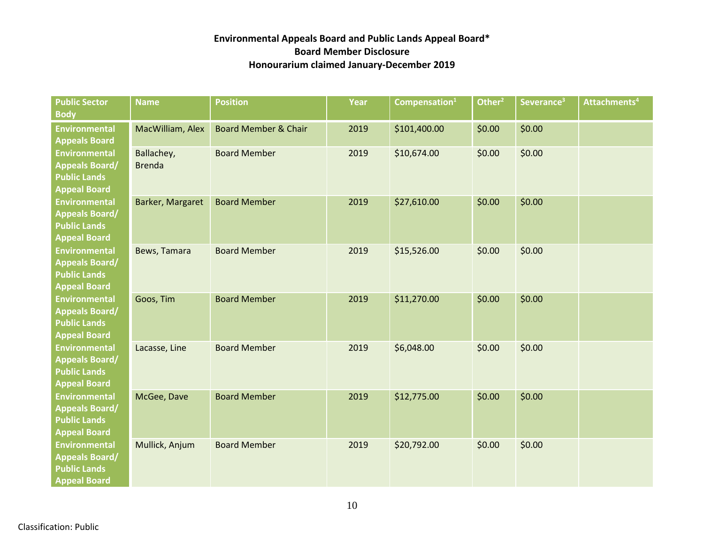| <b>Public Sector</b><br><b>Body</b>                                                         | <b>Name</b>                 | <b>Position</b>                 | Year | Compensation $1$ | Other $\overline{r^2}$ | Severance <sup>3</sup> | Attachments <sup>4</sup> |
|---------------------------------------------------------------------------------------------|-----------------------------|---------------------------------|------|------------------|------------------------|------------------------|--------------------------|
| <b>Environmental</b><br><b>Appeals Board</b>                                                | MacWilliam, Alex            | <b>Board Member &amp; Chair</b> | 2019 | \$101,400.00     | \$0.00                 | \$0.00                 |                          |
| <b>Environmental</b><br><b>Appeals Board/</b><br><b>Public Lands</b><br><b>Appeal Board</b> | Ballachey,<br><b>Brenda</b> | <b>Board Member</b>             | 2019 | \$10,674.00      | \$0.00                 | \$0.00                 |                          |
| <b>Environmental</b><br><b>Appeals Board/</b><br><b>Public Lands</b><br><b>Appeal Board</b> | Barker, Margaret            | <b>Board Member</b>             | 2019 | \$27,610.00      | \$0.00                 | \$0.00                 |                          |
| <b>Environmental</b><br><b>Appeals Board/</b><br><b>Public Lands</b><br><b>Appeal Board</b> | Bews, Tamara                | <b>Board Member</b>             | 2019 | \$15,526.00      | \$0.00                 | \$0.00                 |                          |
| <b>Environmental</b><br><b>Appeals Board/</b><br><b>Public Lands</b><br><b>Appeal Board</b> | Goos, Tim                   | <b>Board Member</b>             | 2019 | \$11,270.00      | \$0.00                 | \$0.00                 |                          |
| <b>Environmental</b><br><b>Appeals Board/</b><br><b>Public Lands</b><br><b>Appeal Board</b> | Lacasse, Line               | <b>Board Member</b>             | 2019 | \$6,048.00       | \$0.00                 | \$0.00                 |                          |
| <b>Environmental</b><br><b>Appeals Board/</b><br><b>Public Lands</b><br><b>Appeal Board</b> | McGee, Dave                 | <b>Board Member</b>             | 2019 | \$12,775.00      | \$0.00                 | \$0.00                 |                          |
| <b>Environmental</b><br><b>Appeals Board/</b><br><b>Public Lands</b><br><b>Appeal Board</b> | Mullick, Anjum              | <b>Board Member</b>             | 2019 | \$20,792.00      | \$0.00                 | \$0.00                 |                          |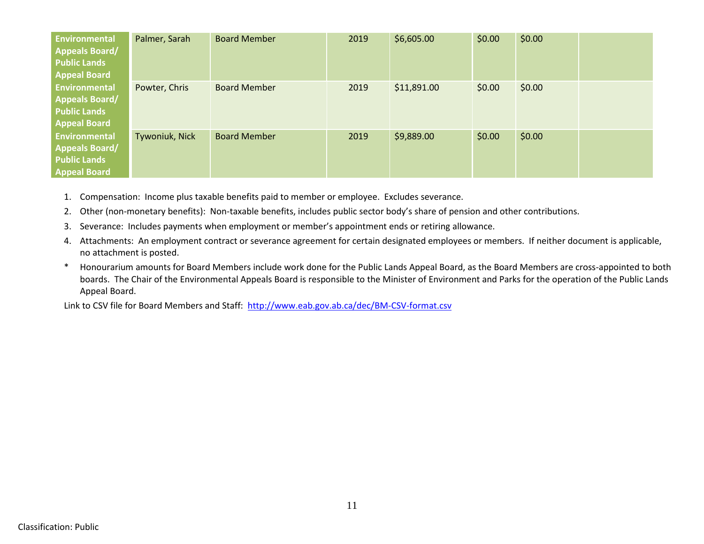| <b>Environmental</b><br><b>Appeals Board/</b><br><b>Public Lands</b><br><b>Appeal Board</b> | Palmer, Sarah  | <b>Board Member</b> | 2019 | \$6,605.00  | \$0.00 | \$0.00 |  |
|---------------------------------------------------------------------------------------------|----------------|---------------------|------|-------------|--------|--------|--|
| <b>Environmental</b><br><b>Appeals Board/</b><br><b>Public Lands</b><br><b>Appeal Board</b> | Powter, Chris  | <b>Board Member</b> | 2019 | \$11,891.00 | \$0.00 | \$0.00 |  |
| <b>Environmental</b><br><b>Appeals Board/</b><br><b>Public Lands</b><br><b>Appeal Board</b> | Tywoniuk, Nick | <b>Board Member</b> | 2019 | \$9,889.00  | \$0.00 | \$0.00 |  |

- 1. Compensation: Income plus taxable benefits paid to member or employee. Excludes severance.
- 2. Other (non-monetary benefits): Non-taxable benefits, includes public sector body's share of pension and other contributions.
- 3. Severance: Includes payments when employment or member's appointment ends or retiring allowance.
- 4. Attachments: An employment contract or severance agreement for certain designated employees or members. If neither document is applicable, no attachment is posted.
- \* Honourarium amounts for Board Members include work done for the Public Lands Appeal Board, as the Board Members are cross-appointed to both boards. The Chair of the Environmental Appeals Board is responsible to the Minister of Environment and Parks for the operation of the Public Lands Appeal Board.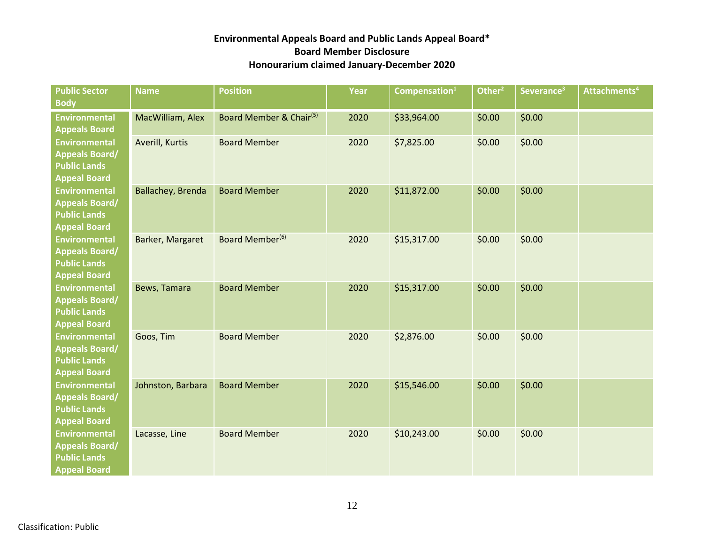| <b>Public Sector</b><br><b>Body</b>                                                         | <b>Name</b>       | <b>Position</b>                     | Year | Compensation $^1$ | Other <sup>2</sup> | Severance <sup>3</sup> | Attachments <sup>4</sup> |
|---------------------------------------------------------------------------------------------|-------------------|-------------------------------------|------|-------------------|--------------------|------------------------|--------------------------|
| <b>Environmental</b><br><b>Appeals Board</b>                                                | MacWilliam, Alex  | Board Member & Chair <sup>(5)</sup> | 2020 | \$33,964.00       | \$0.00             | \$0.00                 |                          |
| <b>Environmental</b><br><b>Appeals Board/</b><br><b>Public Lands</b><br><b>Appeal Board</b> | Averill, Kurtis   | <b>Board Member</b>                 | 2020 | \$7,825.00        | \$0.00             | \$0.00                 |                          |
| <b>Environmental</b><br><b>Appeals Board/</b><br><b>Public Lands</b><br><b>Appeal Board</b> | Ballachey, Brenda | <b>Board Member</b>                 | 2020 | \$11,872.00       | \$0.00             | \$0.00                 |                          |
| <b>Environmental</b><br><b>Appeals Board/</b><br><b>Public Lands</b><br><b>Appeal Board</b> | Barker, Margaret  | Board Member <sup>(6)</sup>         | 2020 | \$15,317.00       | \$0.00             | \$0.00                 |                          |
| <b>Environmental</b><br><b>Appeals Board/</b><br><b>Public Lands</b><br><b>Appeal Board</b> | Bews, Tamara      | <b>Board Member</b>                 | 2020 | \$15,317.00       | \$0.00             | \$0.00                 |                          |
| <b>Environmental</b><br><b>Appeals Board/</b><br><b>Public Lands</b><br><b>Appeal Board</b> | Goos, Tim         | <b>Board Member</b>                 | 2020 | \$2,876.00        | \$0.00             | \$0.00                 |                          |
| <b>Environmental</b><br><b>Appeals Board/</b><br><b>Public Lands</b><br><b>Appeal Board</b> | Johnston, Barbara | <b>Board Member</b>                 | 2020 | \$15,546.00       | \$0.00             | \$0.00                 |                          |
| <b>Environmental</b><br><b>Appeals Board/</b><br><b>Public Lands</b><br><b>Appeal Board</b> | Lacasse, Line     | <b>Board Member</b>                 | 2020 | \$10,243.00       | \$0.00             | \$0.00                 |                          |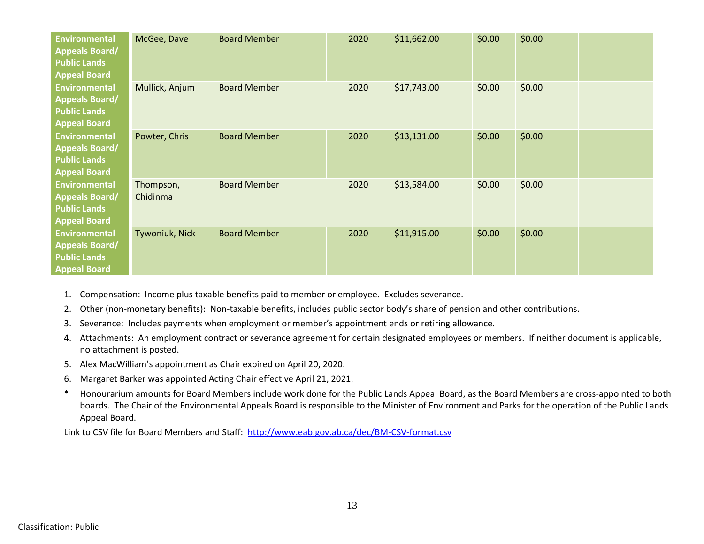| <b>Environmental</b><br><b>Appeals Board/</b><br><b>Public Lands</b><br><b>Appeal Board</b> | McGee, Dave           | <b>Board Member</b> | 2020 | \$11,662.00 | \$0.00 | \$0.00 |  |
|---------------------------------------------------------------------------------------------|-----------------------|---------------------|------|-------------|--------|--------|--|
| <b>Environmental</b><br><b>Appeals Board/</b><br><b>Public Lands</b><br><b>Appeal Board</b> | Mullick, Anjum        | <b>Board Member</b> | 2020 | \$17,743.00 | \$0.00 | \$0.00 |  |
| Environmental<br><b>Appeals Board/</b><br><b>Public Lands</b><br><b>Appeal Board</b>        | Powter, Chris         | <b>Board Member</b> | 2020 | \$13,131.00 | \$0.00 | \$0.00 |  |
| Environmental<br><b>Appeals Board/</b><br><b>Public Lands</b><br><b>Appeal Board</b>        | Thompson,<br>Chidinma | <b>Board Member</b> | 2020 | \$13,584.00 | \$0.00 | \$0.00 |  |
| <b>Environmental</b><br><b>Appeals Board/</b><br><b>Public Lands</b><br><b>Appeal Board</b> | Tywoniuk, Nick        | <b>Board Member</b> | 2020 | \$11,915.00 | \$0.00 | \$0.00 |  |

- 1. Compensation: Income plus taxable benefits paid to member or employee. Excludes severance.
- 2. Other (non-monetary benefits): Non-taxable benefits, includes public sector body's share of pension and other contributions.
- 3. Severance: Includes payments when employment or member's appointment ends or retiring allowance.
- 4. Attachments: An employment contract or severance agreement for certain designated employees or members. If neither document is applicable, no attachment is posted.
- 5. Alex MacWilliam's appointment as Chair expired on April 20, 2020.
- 6. Margaret Barker was appointed Acting Chair effective April 21, 2021.
- \* Honourarium amounts for Board Members include work done for the Public Lands Appeal Board, as the Board Members are cross-appointed to both boards. The Chair of the Environmental Appeals Board is responsible to the Minister of Environment and Parks for the operation of the Public Lands Appeal Board.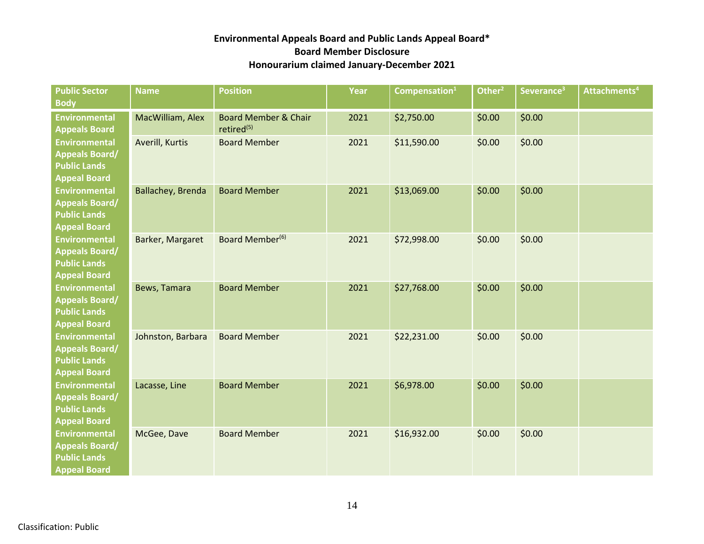| <b>Public Sector</b><br><b>Body</b>                                                         | <b>Name</b>       | <b>Position</b>                                           | Year | Compensation $^1$ | Other $2$ | Severance <sup>3</sup> | Attachments <sup>4</sup> |
|---------------------------------------------------------------------------------------------|-------------------|-----------------------------------------------------------|------|-------------------|-----------|------------------------|--------------------------|
| <b>Environmental</b><br><b>Appeals Board</b>                                                | MacWilliam, Alex  | <b>Board Member &amp; Chair</b><br>retired <sup>(5)</sup> | 2021 | \$2,750.00        | \$0.00    | \$0.00                 |                          |
| <b>Environmental</b><br><b>Appeals Board/</b><br><b>Public Lands</b><br><b>Appeal Board</b> | Averill, Kurtis   | <b>Board Member</b>                                       | 2021 | \$11,590.00       | \$0.00    | \$0.00                 |                          |
| <b>Environmental</b><br><b>Appeals Board/</b><br><b>Public Lands</b><br><b>Appeal Board</b> | Ballachey, Brenda | <b>Board Member</b>                                       | 2021 | \$13,069.00       | \$0.00    | \$0.00                 |                          |
| <b>Environmental</b><br><b>Appeals Board/</b><br><b>Public Lands</b><br><b>Appeal Board</b> | Barker, Margaret  | Board Member <sup>(6)</sup>                               | 2021 | \$72,998.00       | \$0.00    | \$0.00                 |                          |
| <b>Environmental</b><br><b>Appeals Board/</b><br><b>Public Lands</b><br><b>Appeal Board</b> | Bews, Tamara      | <b>Board Member</b>                                       | 2021 | \$27,768.00       | \$0.00    | \$0.00                 |                          |
| <b>Environmental</b><br><b>Appeals Board/</b><br><b>Public Lands</b><br><b>Appeal Board</b> | Johnston, Barbara | <b>Board Member</b>                                       | 2021 | \$22,231.00       | \$0.00    | \$0.00                 |                          |
| <b>Environmental</b><br><b>Appeals Board/</b><br><b>Public Lands</b><br><b>Appeal Board</b> | Lacasse, Line     | <b>Board Member</b>                                       | 2021 | \$6,978.00        | \$0.00    | \$0.00                 |                          |
| <b>Environmental</b><br><b>Appeals Board/</b><br><b>Public Lands</b><br><b>Appeal Board</b> | McGee, Dave       | <b>Board Member</b>                                       | 2021 | \$16,932.00       | \$0.00    | \$0.00                 |                          |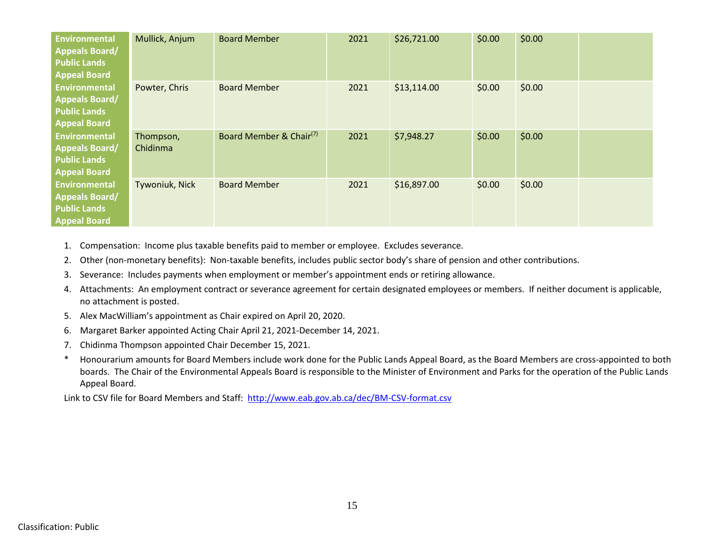| <b>Environmental</b><br><b>Appeals Board/</b><br><b>Public Lands</b><br><b>Appeal Board</b> | Mullick, Anjum        | <b>Board Member</b>                 | 2021 | \$26,721.00 | \$0.00 | \$0.00 |  |
|---------------------------------------------------------------------------------------------|-----------------------|-------------------------------------|------|-------------|--------|--------|--|
| <b>Environmental</b><br><b>Appeals Board/</b><br><b>Public Lands</b><br><b>Appeal Board</b> | Powter, Chris         | <b>Board Member</b>                 | 2021 | \$13,114.00 | \$0.00 | \$0.00 |  |
| Environmental<br><b>Appeals Board/</b><br><b>Public Lands</b><br><b>Appeal Board</b>        | Thompson,<br>Chidinma | Board Member & Chair <sup>(7)</sup> | 2021 | \$7,948.27  | \$0.00 | \$0.00 |  |
| <b>Environmental</b><br><b>Appeals Board/</b><br><b>Public Lands</b><br><b>Appeal Board</b> | Tywoniuk, Nick        | <b>Board Member</b>                 | 2021 | \$16,897.00 | \$0.00 | \$0.00 |  |

1. Compensation: Income plus taxable benefits paid to member or employee. Excludes severance.

2. Other (non-monetary benefits): Non-taxable benefits, includes public sector body's share of pension and other contributions.

3. Severance: Includes payments when employment or member's appointment ends or retiring allowance.

- 4. Attachments: An employment contract or severance agreement for certain designated employees or members. If neither document is applicable, no attachment is posted.
- 5. Alex MacWilliam's appointment as Chair expired on April 20, 2020.
- 6. Margaret Barker appointed Acting Chair April 21, 2021-December 14, 2021.
- 7. Chidinma Thompson appointed Chair December 15, 2021.
- \* Honourarium amounts for Board Members include work done for the Public Lands Appeal Board, as the Board Members are cross-appointed to both boards. The Chair of the Environmental Appeals Board is responsible to the Minister of Environment and Parks for the operation of the Public Lands Appeal Board.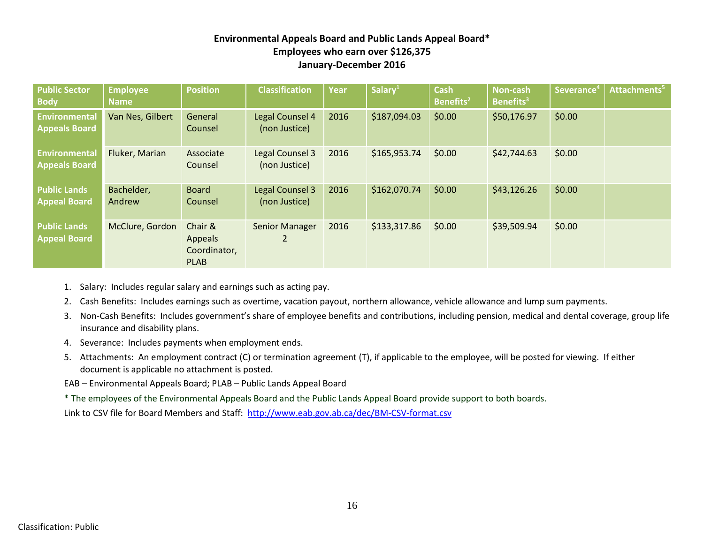## **Environmental Appeals Board and Public Lands Appeal Board\* Employees who earn over \$126,375 January-December 2016**

| <b>Public Sector</b><br><b>Body</b>          | <b>Employee</b><br><b>Name</b> | <b>Position</b>                                          | <b>Classification</b>            | <b>Year</b> | Salary <sup>1</sup> | <b>Cash</b><br>Benefits <sup>2</sup> | <b>Non-cash</b><br>Benefits <sup>3</sup> | Severance <sup>4</sup> | Attachments <sup>5</sup> |
|----------------------------------------------|--------------------------------|----------------------------------------------------------|----------------------------------|-------------|---------------------|--------------------------------------|------------------------------------------|------------------------|--------------------------|
| <b>Environmental</b><br><b>Appeals Board</b> | Van Nes, Gilbert               | General<br>Counsel                                       | Legal Counsel 4<br>(non Justice) | 2016        | \$187,094.03        | \$0.00                               | \$50,176.97                              | \$0.00                 |                          |
| <b>Environmental</b><br><b>Appeals Board</b> | Fluker, Marian                 | Associate<br>Counsel                                     | Legal Counsel 3<br>(non Justice) | 2016        | \$165,953.74        | \$0.00                               | \$42,744.63                              | \$0.00                 |                          |
| <b>Public Lands</b><br><b>Appeal Board</b>   | Bachelder,<br>Andrew           | <b>Board</b><br>Counsel                                  | Legal Counsel 3<br>(non Justice) | 2016        | \$162,070.74        | \$0.00                               | \$43,126.26                              | \$0.00                 |                          |
| <b>Public Lands</b><br><b>Appeal Board</b>   | McClure, Gordon                | Chair &<br><b>Appeals</b><br>Coordinator,<br><b>PLAB</b> | Senior Manager<br>2              | 2016        | \$133,317.86        | \$0.00                               | \$39,509.94                              | \$0.00                 |                          |

- 1. Salary: Includes regular salary and earnings such as acting pay.
- 2. Cash Benefits: Includes earnings such as overtime, vacation payout, northern allowance, vehicle allowance and lump sum payments.
- 3. Non-Cash Benefits: Includes government's share of employee benefits and contributions, including pension, medical and dental coverage, group life insurance and disability plans.
- 4. Severance: Includes payments when employment ends.
- 5. Attachments: An employment contract (C) or termination agreement (T), if applicable to the employee, will be posted for viewing. If either document is applicable no attachment is posted.
- EAB Environmental Appeals Board; PLAB Public Lands Appeal Board
- \* The employees of the Environmental Appeals Board and the Public Lands Appeal Board provide support to both boards.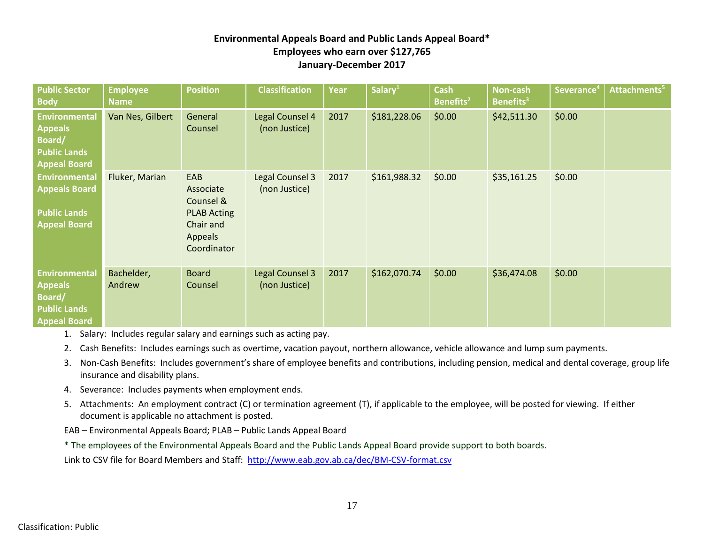## **Environmental Appeals Board and Public Lands Appeal Board\* Employees who earn over \$127,765 January-December 2017**

| <b>Public Sector</b><br><b>Body</b>                                                            | <b>Employee</b><br><b>Name</b> | <b>Position</b>                                                                                   | <b>Classification</b>                   | Year | Salary <sup>1</sup> | <b>Cash</b><br>Benefits <sup>2</sup> | Non-cash<br>Benefits <sup>3</sup> | Severance <sup>4</sup> | Attachments <sup>5</sup> |
|------------------------------------------------------------------------------------------------|--------------------------------|---------------------------------------------------------------------------------------------------|-----------------------------------------|------|---------------------|--------------------------------------|-----------------------------------|------------------------|--------------------------|
| <b>Environmental</b><br><b>Appeals</b><br>Board/<br><b>Public Lands</b><br><b>Appeal Board</b> | Van Nes, Gilbert               | General<br>Counsel                                                                                | Legal Counsel 4<br>(non Justice)        | 2017 | \$181,228.06        | \$0.00                               | \$42,511.30                       | \$0.00                 |                          |
| <b>Environmental</b><br><b>Appeals Board</b><br><b>Public Lands</b><br><b>Appeal Board</b>     | Fluker, Marian                 | EAB<br>Associate<br>Counsel &<br><b>PLAB Acting</b><br>Chair and<br><b>Appeals</b><br>Coordinator | <b>Legal Counsel 3</b><br>(non Justice) | 2017 | \$161,988.32        | \$0.00                               | \$35,161.25                       | \$0.00                 |                          |
| <b>Environmental</b><br><b>Appeals</b><br>Board/<br><b>Public Lands</b><br><b>Appeal Board</b> | Bachelder,<br>Andrew           | <b>Board</b><br>Counsel                                                                           | <b>Legal Counsel 3</b><br>(non Justice) | 2017 | \$162,070.74        | \$0.00                               | \$36,474.08                       | \$0.00                 |                          |

1. Salary: Includes regular salary and earnings such as acting pay.

2. Cash Benefits: Includes earnings such as overtime, vacation payout, northern allowance, vehicle allowance and lump sum payments.

- 3. Non-Cash Benefits: Includes government's share of employee benefits and contributions, including pension, medical and dental coverage, group life insurance and disability plans.
- 4. Severance: Includes payments when employment ends.
- 5. Attachments: An employment contract (C) or termination agreement (T), if applicable to the employee, will be posted for viewing. If either document is applicable no attachment is posted.

EAB – Environmental Appeals Board; PLAB – Public Lands Appeal Board

\* The employees of the Environmental Appeals Board and the Public Lands Appeal Board provide support to both boards.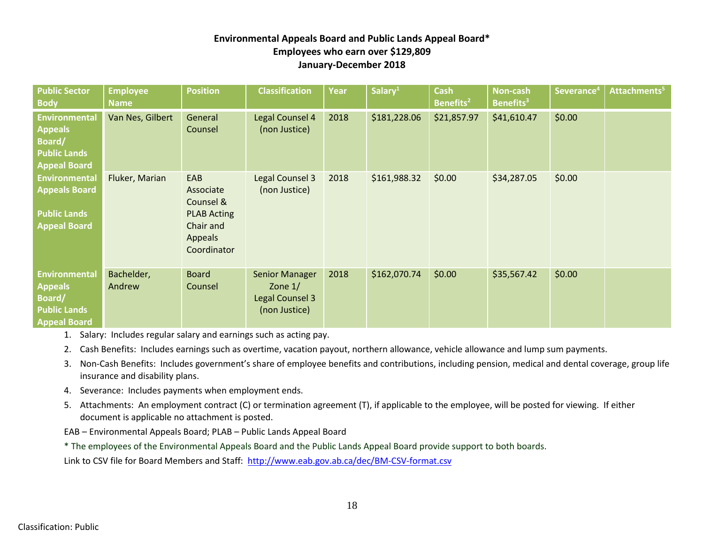## **Environmental Appeals Board and Public Lands Appeal Board\* Employees who earn over \$129,809 January-December 2018**

| <b>Public Sector</b><br><b>Body</b>                                                            | <b>Employee</b><br><b>Name</b> | <b>Position</b>                                                                                   | <b>Classification</b>                                                  | <b>Year</b> | Salary <sup>1</sup> | <b>Cash</b><br>Benefits <sup>2</sup> | Non-cash<br>Benefits <sup>3</sup> | Severance <sup>4</sup> | Attachments <sup>5</sup> |
|------------------------------------------------------------------------------------------------|--------------------------------|---------------------------------------------------------------------------------------------------|------------------------------------------------------------------------|-------------|---------------------|--------------------------------------|-----------------------------------|------------------------|--------------------------|
| <b>Environmental</b><br><b>Appeals</b><br>Board/<br><b>Public Lands</b><br><b>Appeal Board</b> | Van Nes, Gilbert               | General<br>Counsel                                                                                | Legal Counsel 4<br>(non Justice)                                       | 2018        | \$181,228.06        | \$21,857.97                          | \$41,610.47                       | \$0.00                 |                          |
| <b>Environmental</b><br><b>Appeals Board</b><br><b>Public Lands</b><br><b>Appeal Board</b>     | Fluker, Marian                 | EAB<br>Associate<br>Counsel &<br><b>PLAB Acting</b><br>Chair and<br><b>Appeals</b><br>Coordinator | Legal Counsel 3<br>(non Justice)                                       | 2018        | \$161,988.32        | \$0.00                               | \$34,287.05                       | \$0.00                 |                          |
| <b>Environmental</b><br><b>Appeals</b><br>Board/<br><b>Public Lands</b><br><b>Appeal Board</b> | Bachelder,<br>Andrew           | <b>Board</b><br>Counsel                                                                           | <b>Senior Manager</b><br>Zone $1/$<br>Legal Counsel 3<br>(non Justice) | 2018        | \$162,070.74        | \$0.00                               | \$35,567.42                       | \$0.00                 |                          |

1. Salary: Includes regular salary and earnings such as acting pay.

2. Cash Benefits: Includes earnings such as overtime, vacation payout, northern allowance, vehicle allowance and lump sum payments.

- 3. Non-Cash Benefits: Includes government's share of employee benefits and contributions, including pension, medical and dental coverage, group life insurance and disability plans.
- 4. Severance: Includes payments when employment ends.
- 5. Attachments: An employment contract (C) or termination agreement (T), if applicable to the employee, will be posted for viewing. If either document is applicable no attachment is posted.
- EAB Environmental Appeals Board; PLAB Public Lands Appeal Board

\* The employees of the Environmental Appeals Board and the Public Lands Appeal Board provide support to both boards.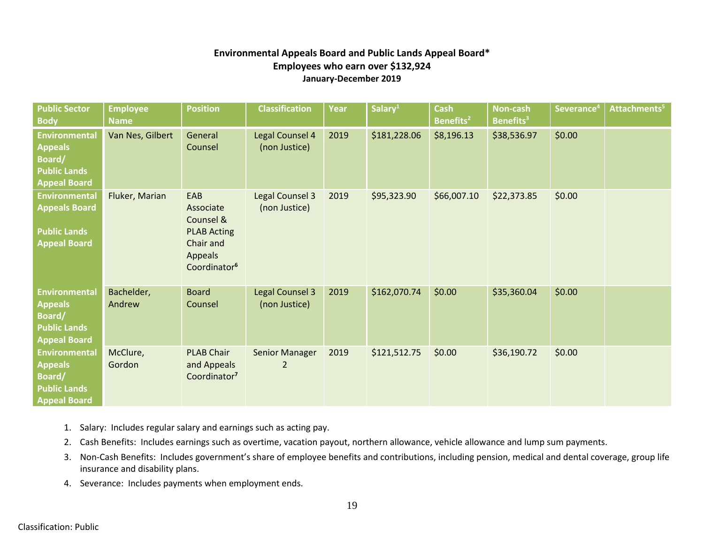## **Environmental Appeals Board and Public Lands Appeal Board\* Employees who earn over \$132,924 January-December 2019**

| <b>Public Sector</b><br><b>Body</b>                                                                   | <b>Employee</b><br><b>Name</b> | <b>Position</b>                                                                                                | <b>Classification</b>                   | Year | Salary <sup>1</sup> | <b>Cash</b><br>Benefits <sup>2</sup> | Non-cash<br><b>Benefits</b> <sup>3</sup> | Severance <sup>4</sup> | Attachments <sup>5</sup> |
|-------------------------------------------------------------------------------------------------------|--------------------------------|----------------------------------------------------------------------------------------------------------------|-----------------------------------------|------|---------------------|--------------------------------------|------------------------------------------|------------------------|--------------------------|
| <b>Environmental</b><br><b>Appeals</b><br><b>Board/</b><br><b>Public Lands</b><br><b>Appeal Board</b> | Van Nes, Gilbert               | General<br>Counsel                                                                                             | Legal Counsel 4<br>(non Justice)        | 2019 | \$181,228.06        | \$8,196.13                           | \$38,536.97                              | \$0.00                 |                          |
| <b>Environmental</b><br><b>Appeals Board</b><br><b>Public Lands</b><br><b>Appeal Board</b>            | Fluker, Marian                 | EAB<br>Associate<br>Counsel &<br><b>PLAB Acting</b><br>Chair and<br><b>Appeals</b><br>Coordinator <sup>6</sup> | <b>Legal Counsel 3</b><br>(non Justice) | 2019 | \$95,323.90         | \$66,007.10                          | \$22,373.85                              | \$0.00                 |                          |
| <b>Environmental</b><br><b>Appeals</b><br>Board/<br><b>Public Lands</b><br><b>Appeal Board</b>        | Bachelder,<br>Andrew           | <b>Board</b><br>Counsel                                                                                        | <b>Legal Counsel 3</b><br>(non Justice) | 2019 | \$162,070.74        | \$0.00                               | \$35,360.04                              | \$0.00                 |                          |
| <b>Environmental</b><br><b>Appeals</b><br><b>Board/</b><br><b>Public Lands</b><br><b>Appeal Board</b> | McClure,<br>Gordon             | <b>PLAB Chair</b><br>and Appeals<br>Coordinator <sup>7</sup>                                                   | <b>Senior Manager</b><br>$\overline{2}$ | 2019 | \$121,512.75        | \$0.00                               | \$36,190.72                              | \$0.00                 |                          |

- 1. Salary: Includes regular salary and earnings such as acting pay.
- 2. Cash Benefits: Includes earnings such as overtime, vacation payout, northern allowance, vehicle allowance and lump sum payments.
- 3. Non-Cash Benefits: Includes government's share of employee benefits and contributions, including pension, medical and dental coverage, group life insurance and disability plans.
- 4. Severance: Includes payments when employment ends.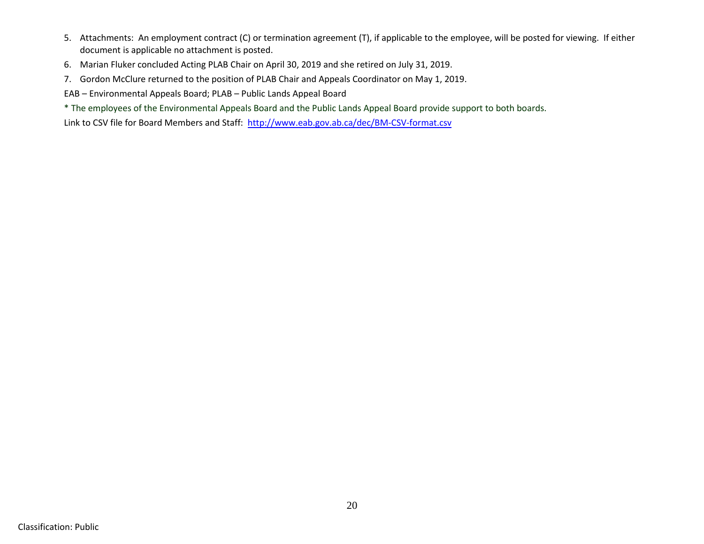- 5. Attachments: An employment contract (C) or termination agreement (T), if applicable to the employee, will be posted for viewing. If either document is applicable no attachment is posted.
- 6. Marian Fluker concluded Acting PLAB Chair on April 30, 2019 and she retired on July 31, 2019.
- 7. Gordon McClure returned to the position of PLAB Chair and Appeals Coordinator on May 1, 2019.
- EAB Environmental Appeals Board; PLAB Public Lands Appeal Board
- \* The employees of the Environmental Appeals Board and the Public Lands Appeal Board provide support to both boards.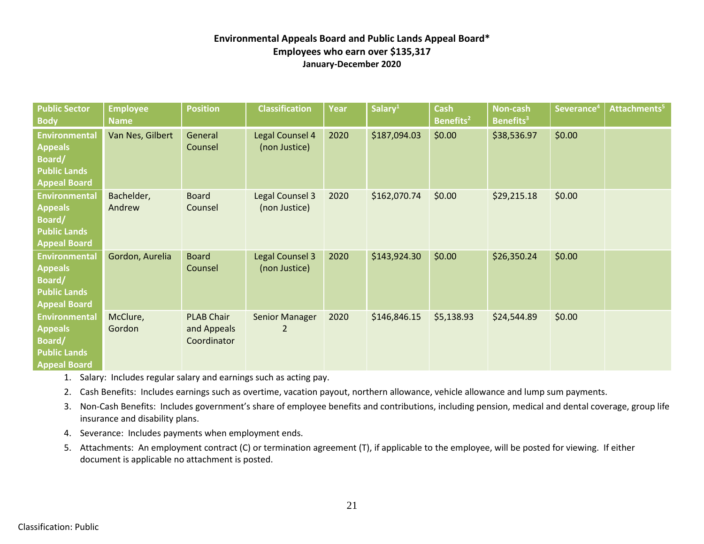## **Environmental Appeals Board and Public Lands Appeal Board\* Employees who earn over \$135,317 January-December 2020**

| <b>Public Sector</b><br><b>Body</b>                                                                   | <b>Employee</b><br><b>Name</b> | <b>Position</b>                                 | <b>Classification</b>                   | Year | Salary <sup>1</sup> | <b>Cash</b><br>Benefits <sup>2</sup> | Non-cash<br>Benefits <sup>3</sup> | Severance <sup>4</sup> | Attachments <sup>5</sup> |
|-------------------------------------------------------------------------------------------------------|--------------------------------|-------------------------------------------------|-----------------------------------------|------|---------------------|--------------------------------------|-----------------------------------|------------------------|--------------------------|
| <b>Environmental</b><br><b>Appeals</b><br>Board/<br><b>Public Lands</b><br><b>Appeal Board</b>        | Van Nes, Gilbert               | General<br>Counsel                              | Legal Counsel 4<br>(non Justice)        | 2020 | \$187,094.03        | \$0.00                               | \$38,536.97                       | \$0.00                 |                          |
| <b>Environmental</b><br><b>Appeals</b><br><b>Board/</b><br><b>Public Lands</b><br><b>Appeal Board</b> | Bachelder,<br>Andrew           | <b>Board</b><br>Counsel                         | <b>Legal Counsel 3</b><br>(non Justice) | 2020 | \$162,070.74        | \$0.00                               | \$29,215.18                       | \$0.00                 |                          |
| <b>Environmental</b><br><b>Appeals</b><br><b>Board/</b><br><b>Public Lands</b><br><b>Appeal Board</b> | Gordon, Aurelia                | <b>Board</b><br>Counsel                         | <b>Legal Counsel 3</b><br>(non Justice) | 2020 | \$143,924.30        | \$0.00                               | \$26,350.24                       | \$0.00                 |                          |
| <b>Environmental</b><br><b>Appeals</b><br>Board/<br><b>Public Lands</b><br><b>Appeal Board</b>        | McClure,<br>Gordon             | <b>PLAB Chair</b><br>and Appeals<br>Coordinator | <b>Senior Manager</b><br>2              | 2020 | \$146,846.15        | \$5,138.93                           | \$24,544.89                       | \$0.00                 |                          |

- 1. Salary: Includes regular salary and earnings such as acting pay.
- 2. Cash Benefits: Includes earnings such as overtime, vacation payout, northern allowance, vehicle allowance and lump sum payments.
- 3. Non-Cash Benefits: Includes government's share of employee benefits and contributions, including pension, medical and dental coverage, group life insurance and disability plans.
- 4. Severance: Includes payments when employment ends.
- 5. Attachments: An employment contract (C) or termination agreement (T), if applicable to the employee, will be posted for viewing. If either document is applicable no attachment is posted.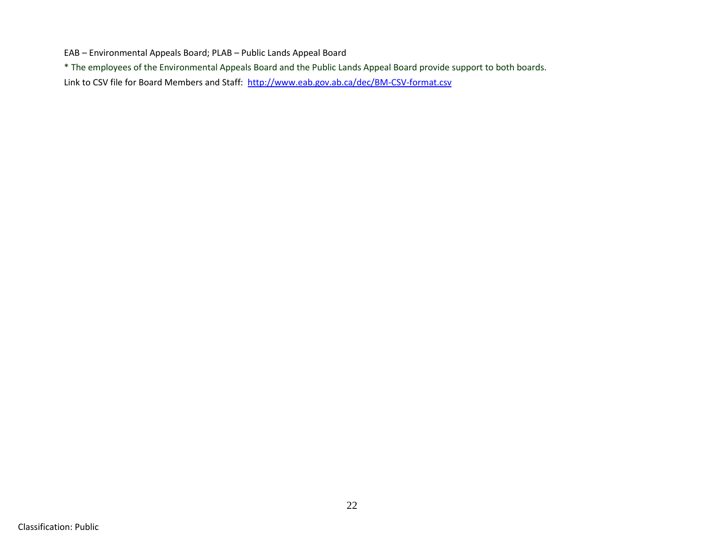EAB – Environmental Appeals Board; PLAB – Public Lands Appeal Board

\* The employees of the Environmental Appeals Board and the Public Lands Appeal Board provide support to both boards.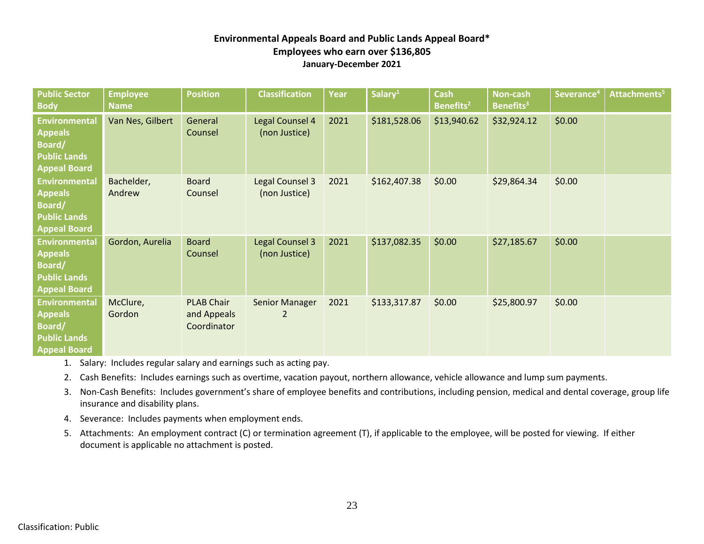#### **Environmental Appeals Board and Public Lands Appeal Board\* Employees who earn over \$136,805 January-December 2021**

| <b>Public Sector</b><br><b>Body</b>                                                            | <b>Employee</b><br><b>Name</b> | <b>Position</b>                                 | <b>Classification</b>                   | Year | Salary <sup>1</sup> | <b>Cash</b><br>Benefits <sup>2</sup> | <b>Non-cash</b><br><b>Benefits</b> <sup>3</sup> | Severance <sup>4</sup> | Attachments <sup>5</sup> |
|------------------------------------------------------------------------------------------------|--------------------------------|-------------------------------------------------|-----------------------------------------|------|---------------------|--------------------------------------|-------------------------------------------------|------------------------|--------------------------|
| <b>Environmental</b><br><b>Appeals</b><br>Board/<br><b>Public Lands</b><br><b>Appeal Board</b> | Van Nes, Gilbert               | General<br>Counsel                              | Legal Counsel 4<br>(non Justice)        | 2021 | \$181,528.06        | \$13,940.62                          | \$32,924.12                                     | \$0.00                 |                          |
| <b>Environmental</b><br><b>Appeals</b><br>Board/<br><b>Public Lands</b><br><b>Appeal Board</b> | Bachelder,<br>Andrew           | <b>Board</b><br>Counsel                         | Legal Counsel 3<br>(non Justice)        | 2021 | \$162,407.38        | \$0.00                               | \$29,864.34                                     | \$0.00                 |                          |
| <b>Environmental</b><br><b>Appeals</b><br>Board/<br><b>Public Lands</b><br><b>Appeal Board</b> | Gordon, Aurelia                | <b>Board</b><br>Counsel                         | <b>Legal Counsel 3</b><br>(non Justice) | 2021 | \$137,082.35        | \$0.00                               | \$27,185.67                                     | \$0.00                 |                          |
| <b>Environmental</b><br><b>Appeals</b><br>Board/<br><b>Public Lands</b><br><b>Appeal Board</b> | McClure,<br>Gordon             | <b>PLAB Chair</b><br>and Appeals<br>Coordinator | <b>Senior Manager</b><br>$\overline{2}$ | 2021 | \$133,317.87        | \$0.00                               | \$25,800.97                                     | \$0.00                 |                          |

- 1. Salary: Includes regular salary and earnings such as acting pay.
- 2. Cash Benefits: Includes earnings such as overtime, vacation payout, northern allowance, vehicle allowance and lump sum payments.
- 3. Non-Cash Benefits: Includes government's share of employee benefits and contributions, including pension, medical and dental coverage, group life insurance and disability plans.
- 4. Severance: Includes payments when employment ends.
- 5. Attachments: An employment contract (C) or termination agreement (T), if applicable to the employee, will be posted for viewing. If either document is applicable no attachment is posted.